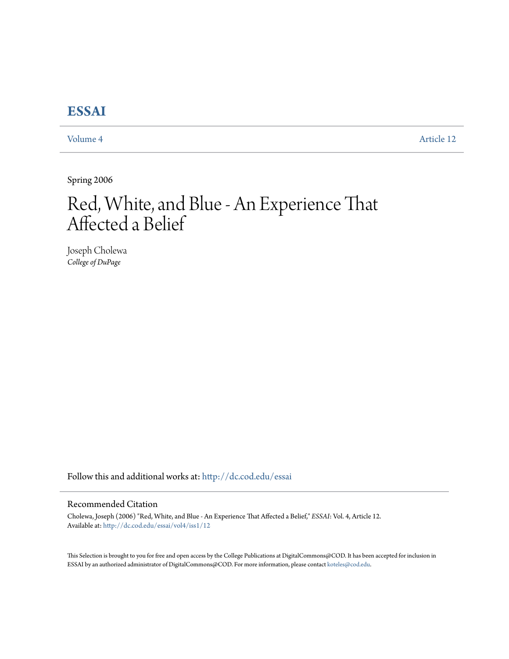# **[ESSAI](http://dc.cod.edu/essai?utm_source=dc.cod.edu%2Fessai%2Fvol4%2Fiss1%2F12&utm_medium=PDF&utm_campaign=PDFCoverPages)**

[Volume 4](http://dc.cod.edu/essai/vol4?utm_source=dc.cod.edu%2Fessai%2Fvol4%2Fiss1%2F12&utm_medium=PDF&utm_campaign=PDFCoverPages) [Article 12](http://dc.cod.edu/essai/vol4/iss1/12?utm_source=dc.cod.edu%2Fessai%2Fvol4%2Fiss1%2F12&utm_medium=PDF&utm_campaign=PDFCoverPages)

Spring 2006

# Red, White, and Blue - An Experience That Affected a Belief

Joseph Cholewa *College of DuPage*

Follow this and additional works at: [http://dc.cod.edu/essai](http://dc.cod.edu/essai?utm_source=dc.cod.edu%2Fessai%2Fvol4%2Fiss1%2F12&utm_medium=PDF&utm_campaign=PDFCoverPages)

## Recommended Citation

Cholewa, Joseph (2006) "Red, White, and Blue - An Experience That Affected a Belief," *ESSAI*: Vol. 4, Article 12. Available at: [http://dc.cod.edu/essai/vol4/iss1/12](http://dc.cod.edu/essai/vol4/iss1/12?utm_source=dc.cod.edu%2Fessai%2Fvol4%2Fiss1%2F12&utm_medium=PDF&utm_campaign=PDFCoverPages)

This Selection is brought to you for free and open access by the College Publications at DigitalCommons@COD. It has been accepted for inclusion in ESSAI by an authorized administrator of DigitalCommons@COD. For more information, please contact [koteles@cod.edu](mailto:koteles@cod.edu).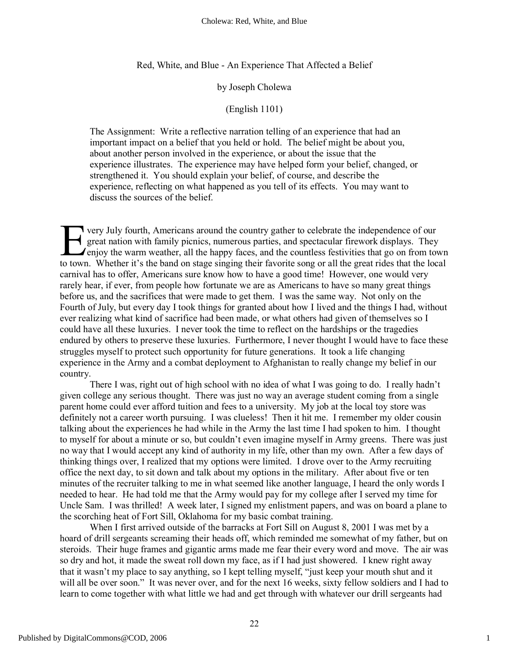Red, White, and Blue - An Experience That Affected a Belief

#### by Joseph Cholewa

### (English 1101)

The Assignment: Write a reflective narration telling of an experience that had an important impact on a belief that you held or hold. The belief might be about you, about another person involved in the experience, or about the issue that the experience illustrates. The experience may have helped form your belief, changed, or strengthened it. You should explain your belief, of course, and describe the experience, reflecting on what happened as you tell of its effects. You may want to discuss the sources of the belief.

very July fourth, Americans around the country gather to celebrate the independence of our great nation with family picnics, numerous parties, and spectacular firework displays. They  $\angle$  enjoy the warm weather, all the happy faces, and the countless festivities that go on from town The very July fourth, Americans around the country gather to celebrate the independence of our great nation with family picnics, numerous parties, and spectacular firework displays. They enjoy the warm weather, all the hap carnival has to offer, Americans sure know how to have a good time! However, one would very rarely hear, if ever, from people how fortunate we are as Americans to have so many great things before us, and the sacrifices that were made to get them. I was the same way. Not only on the Fourth of July, but every day I took things for granted about how I lived and the things I had, without ever realizing what kind of sacrifice had been made, or what others had given of themselves so I could have all these luxuries. I never took the time to reflect on the hardships or the tragedies endured by others to preserve these luxuries. Furthermore, I never thought I would have to face these struggles myself to protect such opportunity for future generations. It took a life changing experience in the Army and a combat deployment to Afghanistan to really change my belief in our country.

There I was, right out of high school with no idea of what I was going to do. I really hadn't given college any serious thought. There was just no way an average student coming from a single parent home could ever afford tuition and fees to a university. My job at the local toy store was definitely not a career worth pursuing. I was clueless! Then it hit me. I remember my older cousin talking about the experiences he had while in the Army the last time I had spoken to him. I thought to myself for about a minute or so, but couldn't even imagine myself in Army greens. There was just no way that I would accept any kind of authority in my life, other than my own. After a few days of thinking things over, I realized that my options were limited. I drove over to the Army recruiting office the next day, to sit down and talk about my options in the military. After about five or ten minutes of the recruiter talking to me in what seemed like another language, I heard the only words I needed to hear. He had told me that the Army would pay for my college after I served my time for Uncle Sam. I was thrilled! A week later, I signed my enlistment papers, and was on board a plane to the scorching heat of Fort Sill, Oklahoma for my basic combat training.

When I first arrived outside of the barracks at Fort Sill on August 8, 2001 I was met by a hoard of drill sergeants screaming their heads off, which reminded me somewhat of my father, but on steroids. Their huge frames and gigantic arms made me fear their every word and move. The air was so dry and hot, it made the sweat roll down my face, as if I had just showered. I knew right away that it wasn't my place to say anything, so I kept telling myself, "just keep your mouth shut and it will all be over soon." It was never over, and for the next 16 weeks, sixty fellow soldiers and I had to learn to come together with what little we had and get through with whatever our drill sergeants had

1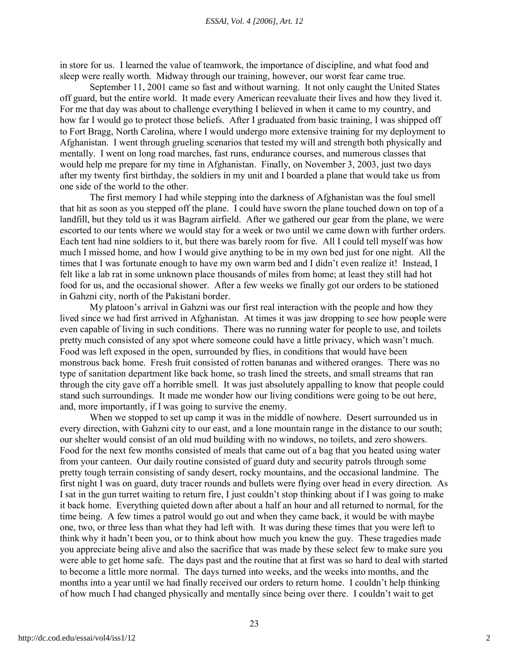in store for us. I learned the value of teamwork, the importance of discipline, and what food and sleep were really worth. Midway through our training, however, our worst fear came true.

September 11, 2001 came so fast and without warning. It not only caught the United States off guard, but the entire world. It made every American reevaluate their lives and how they lived it. For me that day was about to challenge everything I believed in when it came to my country, and how far I would go to protect those beliefs. After I graduated from basic training, I was shipped off to Fort Bragg, North Carolina, where I would undergo more extensive training for my deployment to Afghanistan. I went through grueling scenarios that tested my will and strength both physically and mentally. I went on long road marches, fast runs, endurance courses, and numerous classes that would help me prepare for my time in Afghanistan. Finally, on November 3, 2003, just two days after my twenty first birthday, the soldiers in my unit and I boarded a plane that would take us from one side of the world to the other.

The first memory I had while stepping into the darkness of Afghanistan was the foul smell that hit as soon as you stepped off the plane. I could have sworn the plane touched down on top of a landfill, but they told us it was Bagram airfield. After we gathered our gear from the plane, we were escorted to our tents where we would stay for a week or two until we came down with further orders. Each tent had nine soldiers to it, but there was barely room for five. All I could tell myself was how much I missed home, and how I would give anything to be in my own bed just for one night. All the times that I was fortunate enough to have my own warm bed and I didn't even realize it! Instead, I felt like a lab rat in some unknown place thousands of miles from home; at least they still had hot food for us, and the occasional shower. After a few weeks we finally got our orders to be stationed in Gahzni city, north of the Pakistani border.

My platoon's arrival in Gahzni was our first real interaction with the people and how they lived since we had first arrived in Afghanistan. At times it was jaw dropping to see how people were even capable of living in such conditions. There was no running water for people to use, and toilets pretty much consisted of any spot where someone could have a little privacy, which wasn't much. Food was left exposed in the open, surrounded by flies, in conditions that would have been monstrous back home. Fresh fruit consisted of rotten bananas and withered oranges. There was no type of sanitation department like back home, so trash lined the streets, and small streams that ran through the city gave off a horrible smell. It was just absolutely appalling to know that people could stand such surroundings. It made me wonder how our living conditions were going to be out here, and, more importantly, if I was going to survive the enemy.

When we stopped to set up camp it was in the middle of nowhere. Desert surrounded us in every direction, with Gahzni city to our east, and a lone mountain range in the distance to our south; our shelter would consist of an old mud building with no windows, no toilets, and zero showers. Food for the next few months consisted of meals that came out of a bag that you heated using water from your canteen. Our daily routine consisted of guard duty and security patrols through some pretty tough terrain consisting of sandy desert, rocky mountains, and the occasional landmine. The first night I was on guard, duty tracer rounds and bullets were flying over head in every direction. As I sat in the gun turret waiting to return fire, I just couldn't stop thinking about if I was going to make it back home. Everything quieted down after about a half an hour and all returned to normal, for the time being. A few times a patrol would go out and when they came back, it would be with maybe one, two, or three less than what they had left with. It was during these times that you were left to think why it hadn't been you, or to think about how much you knew the guy. These tragedies made you appreciate being alive and also the sacrifice that was made by these select few to make sure you were able to get home safe. The days past and the routine that at first was so hard to deal with started to become a little more normal. The days turned into weeks, and the weeks into months, and the months into a year until we had finally received our orders to return home. I couldn't help thinking of how much I had changed physically and mentally since being over there. I couldn't wait to get

2